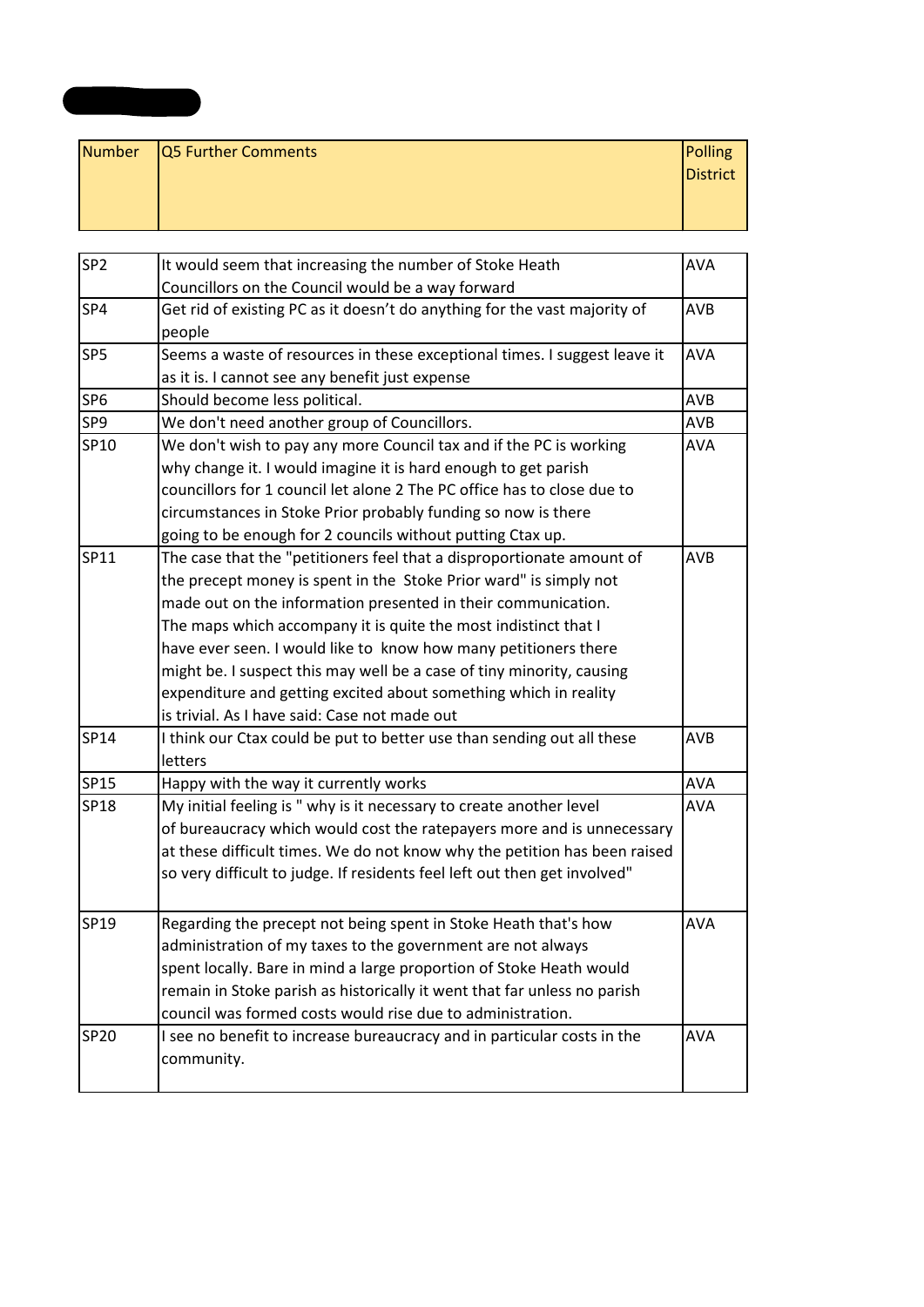| Number   Q5 Further Comments | Polling  |
|------------------------------|----------|
|                              | District |
|                              |          |
|                              |          |

**Appendix 3**

| SP <sub>2</sub> | It would seem that increasing the number of Stoke Heath                   | <b>AVA</b> |
|-----------------|---------------------------------------------------------------------------|------------|
|                 | Councillors on the Council would be a way forward                         |            |
| SP4             | Get rid of existing PC as it doesn't do anything for the vast majority of | <b>AVB</b> |
|                 | people                                                                    |            |
| SP <sub>5</sub> | Seems a waste of resources in these exceptional times. I suggest leave it | <b>AVA</b> |
|                 | as it is. I cannot see any benefit just expense                           |            |
| SP <sub>6</sub> | Should become less political.                                             | AVB        |
| SP9             | We don't need another group of Councillors.                               | <b>AVB</b> |
| SP10            | We don't wish to pay any more Council tax and if the PC is working        | <b>AVA</b> |
|                 | why change it. I would imagine it is hard enough to get parish            |            |
|                 | councillors for 1 council let alone 2 The PC office has to close due to   |            |
|                 | circumstances in Stoke Prior probably funding so now is there             |            |
|                 | going to be enough for 2 councils without putting Ctax up.                |            |
| SP11            | The case that the "petitioners feel that a disproportionate amount of     | AVB        |
|                 | the precept money is spent in the Stoke Prior ward" is simply not         |            |
|                 | made out on the information presented in their communication.             |            |
|                 | The maps which accompany it is quite the most indistinct that I           |            |
|                 | have ever seen. I would like to know how many petitioners there           |            |
|                 | might be. I suspect this may well be a case of tiny minority, causing     |            |
|                 | expenditure and getting excited about something which in reality          |            |
|                 | is trivial. As I have said: Case not made out                             |            |
| SP14            | I think our Ctax could be put to better use than sending out all these    | <b>AVB</b> |
|                 | letters                                                                   |            |
| SP15            | Happy with the way it currently works                                     | <b>AVA</b> |
| SP18            | My initial feeling is " why is it necessary to create another level       | <b>AVA</b> |
|                 | of bureaucracy which would cost the ratepayers more and is unnecessary    |            |
|                 | at these difficult times. We do not know why the petition has been raised |            |
|                 | so very difficult to judge. If residents feel left out then get involved" |            |
|                 |                                                                           |            |
| SP19            | Regarding the precept not being spent in Stoke Heath that's how           | <b>AVA</b> |
|                 | administration of my taxes to the government are not always               |            |
|                 | spent locally. Bare in mind a large proportion of Stoke Heath would       |            |
|                 | remain in Stoke parish as historically it went that far unless no parish  |            |
|                 | council was formed costs would rise due to administration.                |            |
| SP20            | I see no benefit to increase bureaucracy and in particular costs in the   | <b>AVA</b> |
|                 | community.                                                                |            |
|                 |                                                                           |            |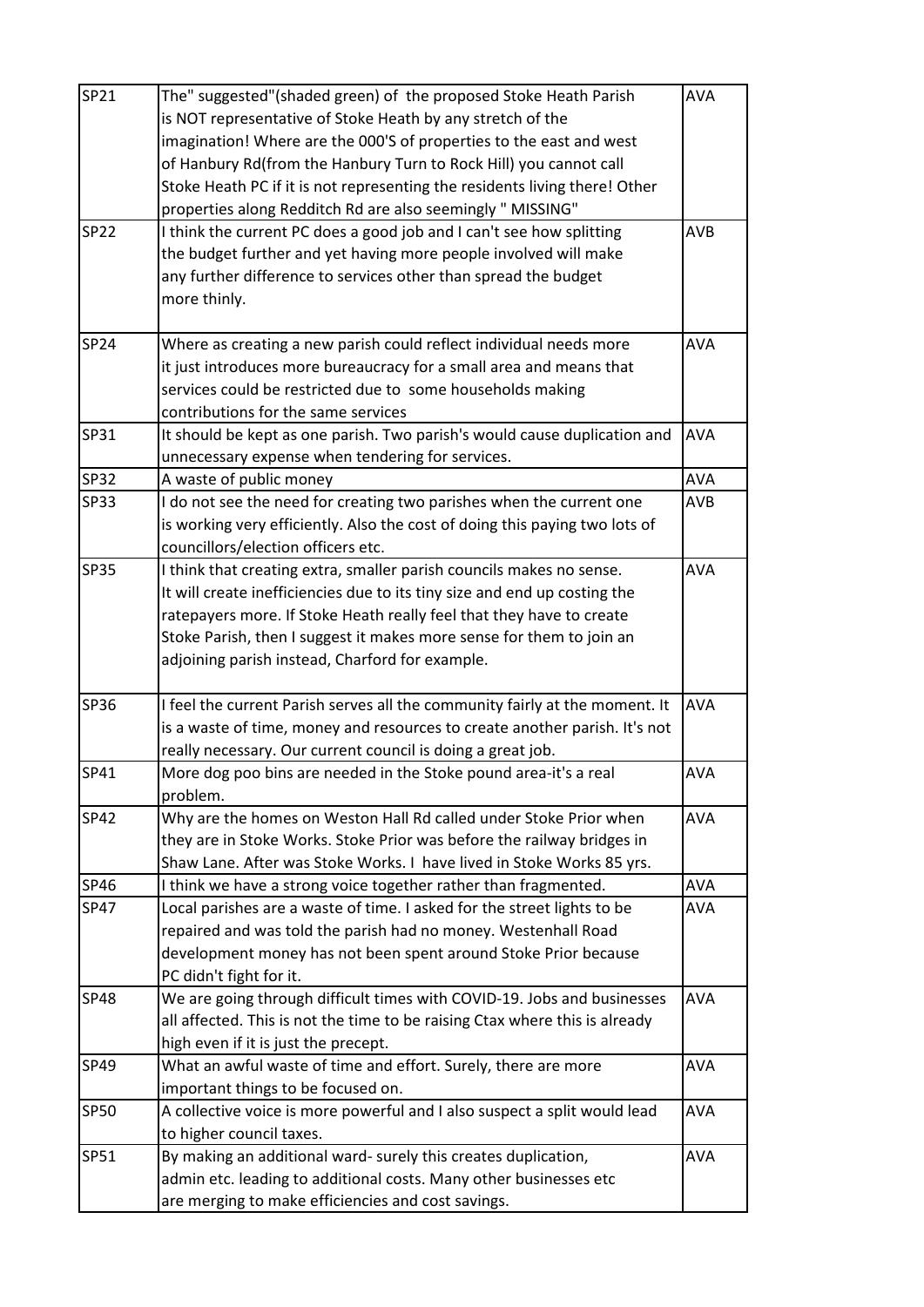| SP21        | The" suggested"(shaded green) of the proposed Stoke Heath Parish            | <b>AVA</b> |
|-------------|-----------------------------------------------------------------------------|------------|
|             | is NOT representative of Stoke Heath by any stretch of the                  |            |
|             | imagination! Where are the 000'S of properties to the east and west         |            |
|             | of Hanbury Rd(from the Hanbury Turn to Rock Hill) you cannot call           |            |
|             | Stoke Heath PC if it is not representing the residents living there! Other  |            |
|             | properties along Redditch Rd are also seemingly " MISSING"                  |            |
| <b>SP22</b> | I think the current PC does a good job and I can't see how splitting        | <b>AVB</b> |
|             | the budget further and yet having more people involved will make            |            |
|             | any further difference to services other than spread the budget             |            |
|             | more thinly.                                                                |            |
| SP24        | Where as creating a new parish could reflect individual needs more          | <b>AVA</b> |
|             | it just introduces more bureaucracy for a small area and means that         |            |
|             | services could be restricted due to some households making                  |            |
|             | contributions for the same services                                         |            |
| SP31        | It should be kept as one parish. Two parish's would cause duplication and   | <b>AVA</b> |
|             | unnecessary expense when tendering for services.                            |            |
| <b>SP32</b> | A waste of public money                                                     | <b>AVA</b> |
| SP33        | I do not see the need for creating two parishes when the current one        | <b>AVB</b> |
|             | is working very efficiently. Also the cost of doing this paying two lots of |            |
|             | councillors/election officers etc.                                          |            |
| <b>SP35</b> | I think that creating extra, smaller parish councils makes no sense.        | <b>AVA</b> |
|             | It will create inefficiencies due to its tiny size and end up costing the   |            |
|             | ratepayers more. If Stoke Heath really feel that they have to create        |            |
|             | Stoke Parish, then I suggest it makes more sense for them to join an        |            |
|             | adjoining parish instead, Charford for example.                             |            |
| SP36        | I feel the current Parish serves all the community fairly at the moment. It | <b>AVA</b> |
|             | is a waste of time, money and resources to create another parish. It's not  |            |
|             | really necessary. Our current council is doing a great job.                 |            |
| SP41        | More dog poo bins are needed in the Stoke pound area-it's a real            | AVA        |
|             | problem.                                                                    |            |
| SP42        | Why are the homes on Weston Hall Rd called under Stoke Prior when           | <b>AVA</b> |
|             | they are in Stoke Works. Stoke Prior was before the railway bridges in      |            |
|             | Shaw Lane. After was Stoke Works. I have lived in Stoke Works 85 yrs.       |            |
| SP46        | I think we have a strong voice together rather than fragmented.             | <b>AVA</b> |
| SP47        | Local parishes are a waste of time. I asked for the street lights to be     | <b>AVA</b> |
|             | repaired and was told the parish had no money. Westenhall Road              |            |
|             | development money has not been spent around Stoke Prior because             |            |
|             | PC didn't fight for it.                                                     |            |
| <b>SP48</b> | We are going through difficult times with COVID-19. Jobs and businesses     | <b>AVA</b> |
|             | all affected. This is not the time to be raising Ctax where this is already |            |
|             | high even if it is just the precept.                                        |            |
| SP49        | What an awful waste of time and effort. Surely, there are more              | <b>AVA</b> |
|             | important things to be focused on.                                          |            |
| <b>SP50</b> | A collective voice is more powerful and I also suspect a split would lead   | <b>AVA</b> |
|             | to higher council taxes.                                                    |            |
| SP51        | By making an additional ward- surely this creates duplication,              | <b>AVA</b> |
|             | admin etc. leading to additional costs. Many other businesses etc           |            |
|             | are merging to make efficiencies and cost savings.                          |            |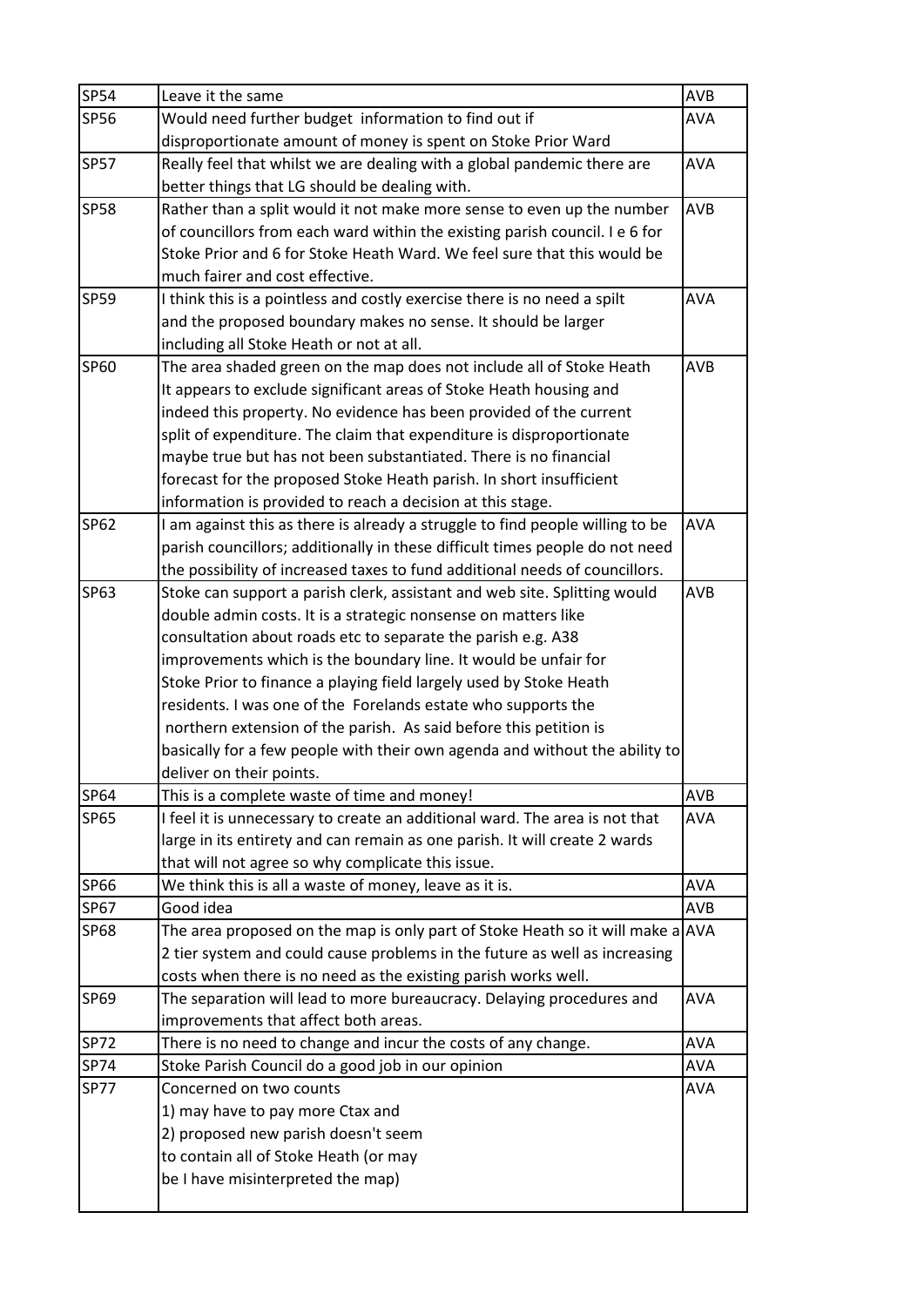| <b>SP54</b> | Leave it the same                                                                | <b>AVB</b> |
|-------------|----------------------------------------------------------------------------------|------------|
| SP56        | Would need further budget information to find out if                             | <b>AVA</b> |
|             | disproportionate amount of money is spent on Stoke Prior Ward                    |            |
| <b>SP57</b> | Really feel that whilst we are dealing with a global pandemic there are          | <b>AVA</b> |
|             | better things that LG should be dealing with.                                    |            |
| <b>SP58</b> | Rather than a split would it not make more sense to even up the number           | <b>AVB</b> |
|             | of councillors from each ward within the existing parish council. I e 6 for      |            |
|             | Stoke Prior and 6 for Stoke Heath Ward. We feel sure that this would be          |            |
|             | much fairer and cost effective.                                                  |            |
| <b>SP59</b> | I think this is a pointless and costly exercise there is no need a spilt         | <b>AVA</b> |
|             | and the proposed boundary makes no sense. It should be larger                    |            |
|             | including all Stoke Heath or not at all.                                         |            |
| SP60        | The area shaded green on the map does not include all of Stoke Heath             | <b>AVB</b> |
|             | It appears to exclude significant areas of Stoke Heath housing and               |            |
|             | indeed this property. No evidence has been provided of the current               |            |
|             | split of expenditure. The claim that expenditure is disproportionate             |            |
|             | maybe true but has not been substantiated. There is no financial                 |            |
|             | forecast for the proposed Stoke Heath parish. In short insufficient              |            |
|             | information is provided to reach a decision at this stage.                       |            |
| SP62        | I am against this as there is already a struggle to find people willing to be    | <b>AVA</b> |
|             | parish councillors; additionally in these difficult times people do not need     |            |
|             | the possibility of increased taxes to fund additional needs of councillors.      |            |
| SP63        | Stoke can support a parish clerk, assistant and web site. Splitting would        | AVB        |
|             | double admin costs. It is a strategic nonsense on matters like                   |            |
|             | consultation about roads etc to separate the parish e.g. A38                     |            |
|             | improvements which is the boundary line. It would be unfair for                  |            |
|             | Stoke Prior to finance a playing field largely used by Stoke Heath               |            |
|             | residents. I was one of the Forelands estate who supports the                    |            |
|             | northern extension of the parish. As said before this petition is                |            |
|             | basically for a few people with their own agenda and without the ability to      |            |
|             | deliver on their points.                                                         |            |
| SP64        | This is a complete waste of time and money!                                      | <b>AVB</b> |
| SP65        | I feel it is unnecessary to create an additional ward. The area is not that      | <b>AVA</b> |
|             | large in its entirety and can remain as one parish. It will create 2 wards       |            |
|             | that will not agree so why complicate this issue.                                |            |
| SP66        | We think this is all a waste of money, leave as it is.                           | AVA        |
| SP67        | Good idea                                                                        | <b>AVB</b> |
| <b>SP68</b> | The area proposed on the map is only part of Stoke Heath so it will make a $AVA$ |            |
|             | 2 tier system and could cause problems in the future as well as increasing       |            |
|             | costs when there is no need as the existing parish works well.                   |            |
| SP69        | The separation will lead to more bureaucracy. Delaying procedures and            | <b>AVA</b> |
|             | improvements that affect both areas.                                             |            |
| <b>SP72</b> | There is no need to change and incur the costs of any change.                    | <b>AVA</b> |
| SP74        | Stoke Parish Council do a good job in our opinion                                | <b>AVA</b> |
| <b>SP77</b> | Concerned on two counts                                                          | <b>AVA</b> |
|             | 1) may have to pay more Ctax and                                                 |            |
|             | 2) proposed new parish doesn't seem                                              |            |
|             | to contain all of Stoke Heath (or may                                            |            |
|             | be I have misinterpreted the map)                                                |            |
|             |                                                                                  |            |
|             |                                                                                  |            |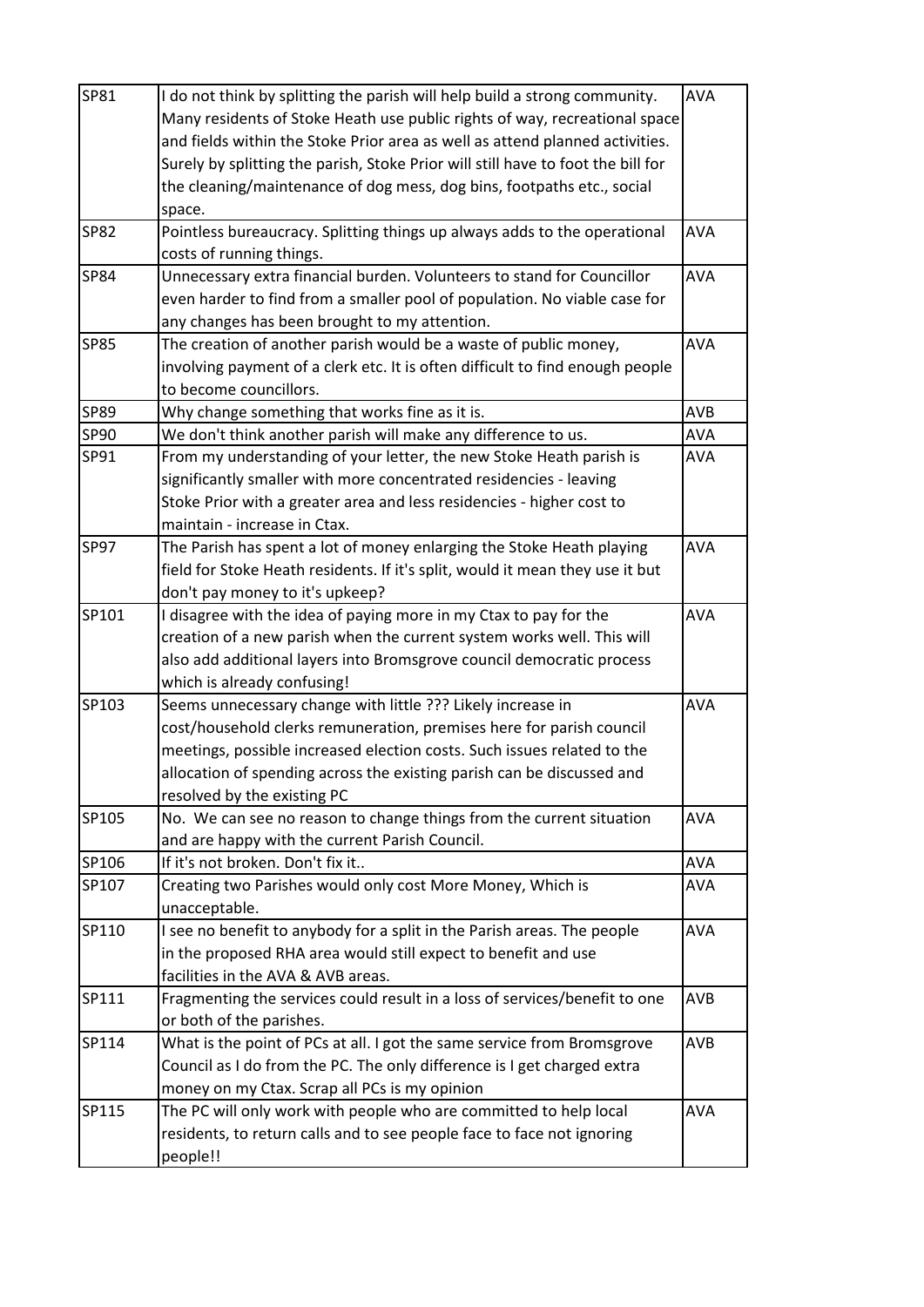| SP81        | I do not think by splitting the parish will help build a strong community.       | <b>AVA</b> |
|-------------|----------------------------------------------------------------------------------|------------|
|             | Many residents of Stoke Heath use public rights of way, recreational space       |            |
|             | and fields within the Stoke Prior area as well as attend planned activities.     |            |
|             | Surely by splitting the parish, Stoke Prior will still have to foot the bill for |            |
|             | the cleaning/maintenance of dog mess, dog bins, footpaths etc., social           |            |
|             | space.                                                                           |            |
| <b>SP82</b> | Pointless bureaucracy. Splitting things up always adds to the operational        | <b>AVA</b> |
|             | costs of running things.                                                         |            |
| <b>SP84</b> | Unnecessary extra financial burden. Volunteers to stand for Councillor           | <b>AVA</b> |
|             | even harder to find from a smaller pool of population. No viable case for        |            |
|             | any changes has been brought to my attention.                                    |            |
| <b>SP85</b> | The creation of another parish would be a waste of public money,                 | <b>AVA</b> |
|             | involving payment of a clerk etc. It is often difficult to find enough people    |            |
|             | to become councillors.                                                           |            |
| SP89        | Why change something that works fine as it is.                                   | <b>AVB</b> |
| SP90        | We don't think another parish will make any difference to us.                    | AVA        |
| SP91        | From my understanding of your letter, the new Stoke Heath parish is              | <b>AVA</b> |
|             | significantly smaller with more concentrated residencies - leaving               |            |
|             | Stoke Prior with a greater area and less residencies - higher cost to            |            |
|             | maintain - increase in Ctax.                                                     |            |
| <b>SP97</b> | The Parish has spent a lot of money enlarging the Stoke Heath playing            | <b>AVA</b> |
|             | field for Stoke Heath residents. If it's split, would it mean they use it but    |            |
|             | don't pay money to it's upkeep?                                                  |            |
| SP101       | I disagree with the idea of paying more in my Ctax to pay for the                | AVA        |
|             | creation of a new parish when the current system works well. This will           |            |
|             | also add additional layers into Bromsgrove council democratic process            |            |
|             | which is already confusing!                                                      |            |
| SP103       | Seems unnecessary change with little ??? Likely increase in                      | AVA        |
|             | cost/household clerks remuneration, premises here for parish council             |            |
|             | meetings, possible increased election costs. Such issues related to the          |            |
|             | allocation of spending across the existing parish can be discussed and           |            |
|             | resolved by the existing PC                                                      |            |
| SP105       | No. We can see no reason to change things from the current situation             | <b>AVA</b> |
|             | and are happy with the current Parish Council.                                   |            |
| SP106       | If it's not broken. Don't fix it                                                 | <b>AVA</b> |
| SP107       | Creating two Parishes would only cost More Money, Which is                       | <b>AVA</b> |
|             | unacceptable.                                                                    |            |
| SP110       | I see no benefit to anybody for a split in the Parish areas. The people          | <b>AVA</b> |
|             | in the proposed RHA area would still expect to benefit and use                   |            |
|             | facilities in the AVA & AVB areas.                                               |            |
| SP111       | Fragmenting the services could result in a loss of services/benefit to one       | <b>AVB</b> |
|             | or both of the parishes.                                                         |            |
| SP114       | What is the point of PCs at all. I got the same service from Bromsgrove          | <b>AVB</b> |
|             | Council as I do from the PC. The only difference is I get charged extra          |            |
|             | money on my Ctax. Scrap all PCs is my opinion                                    |            |
| SP115       | The PC will only work with people who are committed to help local                | <b>AVA</b> |
|             | residents, to return calls and to see people face to face not ignoring           |            |
|             | people!!                                                                         |            |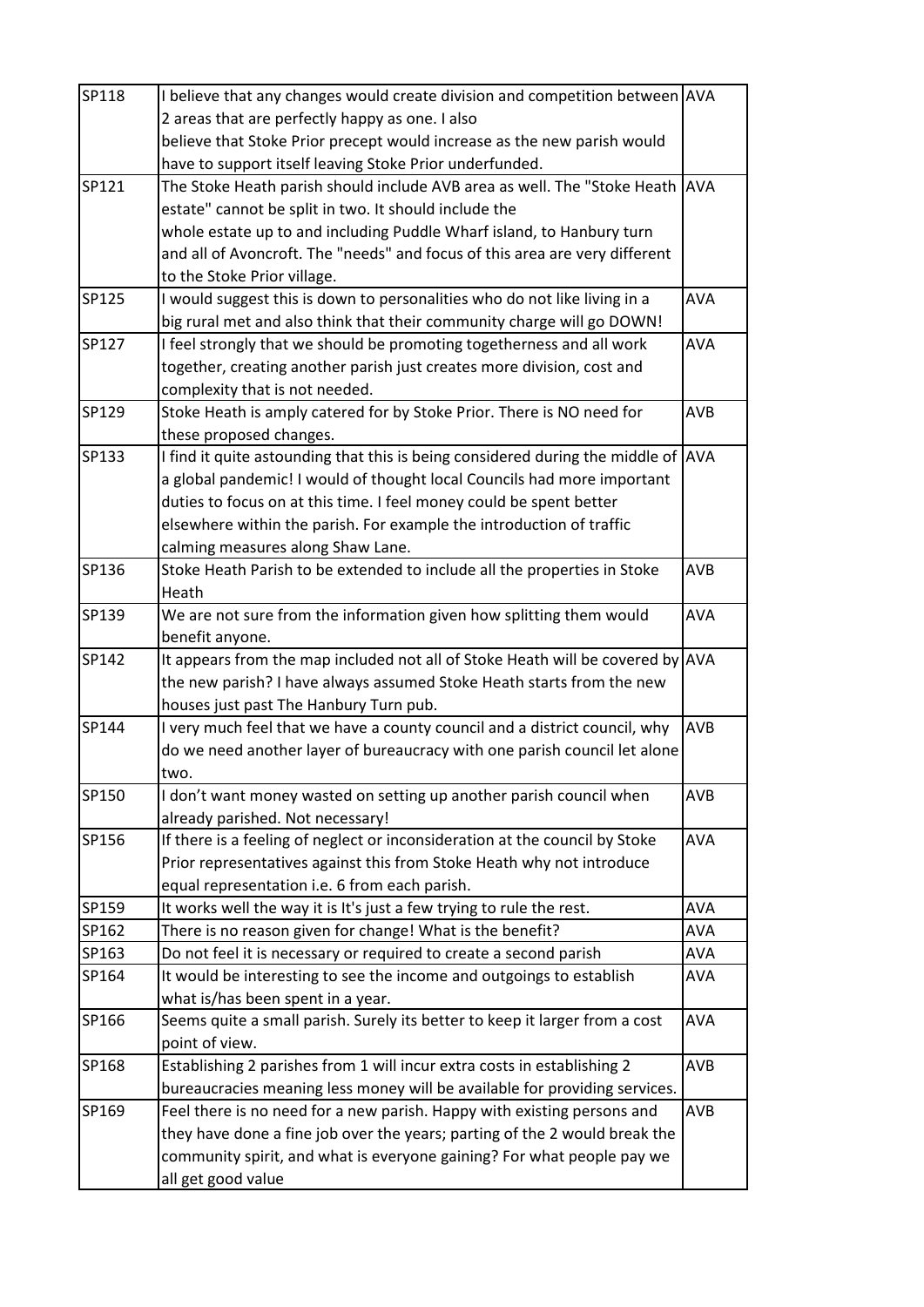| SP118 | I believe that any changes would create division and competition between AVA      |            |
|-------|-----------------------------------------------------------------------------------|------------|
|       | 2 areas that are perfectly happy as one. I also                                   |            |
|       | believe that Stoke Prior precept would increase as the new parish would           |            |
|       | have to support itself leaving Stoke Prior underfunded.                           |            |
| SP121 | The Stoke Heath parish should include AVB area as well. The "Stoke Heath          | <b>AVA</b> |
|       | estate" cannot be split in two. It should include the                             |            |
|       | whole estate up to and including Puddle Wharf island, to Hanbury turn             |            |
|       | and all of Avoncroft. The "needs" and focus of this area are very different       |            |
|       | to the Stoke Prior village.                                                       |            |
| SP125 | I would suggest this is down to personalities who do not like living in a         | AVA        |
|       | big rural met and also think that their community charge will go DOWN!            |            |
| SP127 | I feel strongly that we should be promoting togetherness and all work             | <b>AVA</b> |
|       | together, creating another parish just creates more division, cost and            |            |
|       | complexity that is not needed.                                                    |            |
| SP129 | Stoke Heath is amply catered for by Stoke Prior. There is NO need for             | <b>AVB</b> |
|       | these proposed changes.                                                           |            |
| SP133 | I find it quite astounding that this is being considered during the middle of AVA |            |
|       | a global pandemic! I would of thought local Councils had more important           |            |
|       | duties to focus on at this time. I feel money could be spent better               |            |
|       | elsewhere within the parish. For example the introduction of traffic              |            |
|       | calming measures along Shaw Lane.                                                 |            |
| SP136 | Stoke Heath Parish to be extended to include all the properties in Stoke          | <b>AVB</b> |
|       | Heath                                                                             |            |
| SP139 | We are not sure from the information given how splitting them would               | AVA        |
|       | benefit anyone.                                                                   |            |
| SP142 | It appears from the map included not all of Stoke Heath will be covered by AVA    |            |
|       | the new parish? I have always assumed Stoke Heath starts from the new             |            |
|       | houses just past The Hanbury Turn pub.                                            |            |
| SP144 | I very much feel that we have a county council and a district council, why        | <b>AVB</b> |
|       | do we need another layer of bureaucracy with one parish council let alone         |            |
|       | two.                                                                              |            |
| SP150 | I don't want money wasted on setting up another parish council when               | AVB        |
|       | already parished. Not necessary!                                                  |            |
| SP156 | If there is a feeling of neglect or inconsideration at the council by Stoke       | <b>AVA</b> |
|       | Prior representatives against this from Stoke Heath why not introduce             |            |
|       | equal representation i.e. 6 from each parish.                                     |            |
| SP159 | It works well the way it is It's just a few trying to rule the rest.              | <b>AVA</b> |
| SP162 | There is no reason given for change! What is the benefit?                         | <b>AVA</b> |
| SP163 | Do not feel it is necessary or required to create a second parish                 | <b>AVA</b> |
| SP164 | It would be interesting to see the income and outgoings to establish              | <b>AVA</b> |
|       | what is/has been spent in a year.                                                 |            |
| SP166 | Seems quite a small parish. Surely its better to keep it larger from a cost       | <b>AVA</b> |
|       | point of view.                                                                    |            |
| SP168 | Establishing 2 parishes from 1 will incur extra costs in establishing 2           | AVB        |
|       | bureaucracies meaning less money will be available for providing services.        |            |
| SP169 | Feel there is no need for a new parish. Happy with existing persons and           | AVB        |
|       | they have done a fine job over the years; parting of the 2 would break the        |            |
|       | community spirit, and what is everyone gaining? For what people pay we            |            |
|       | all get good value                                                                |            |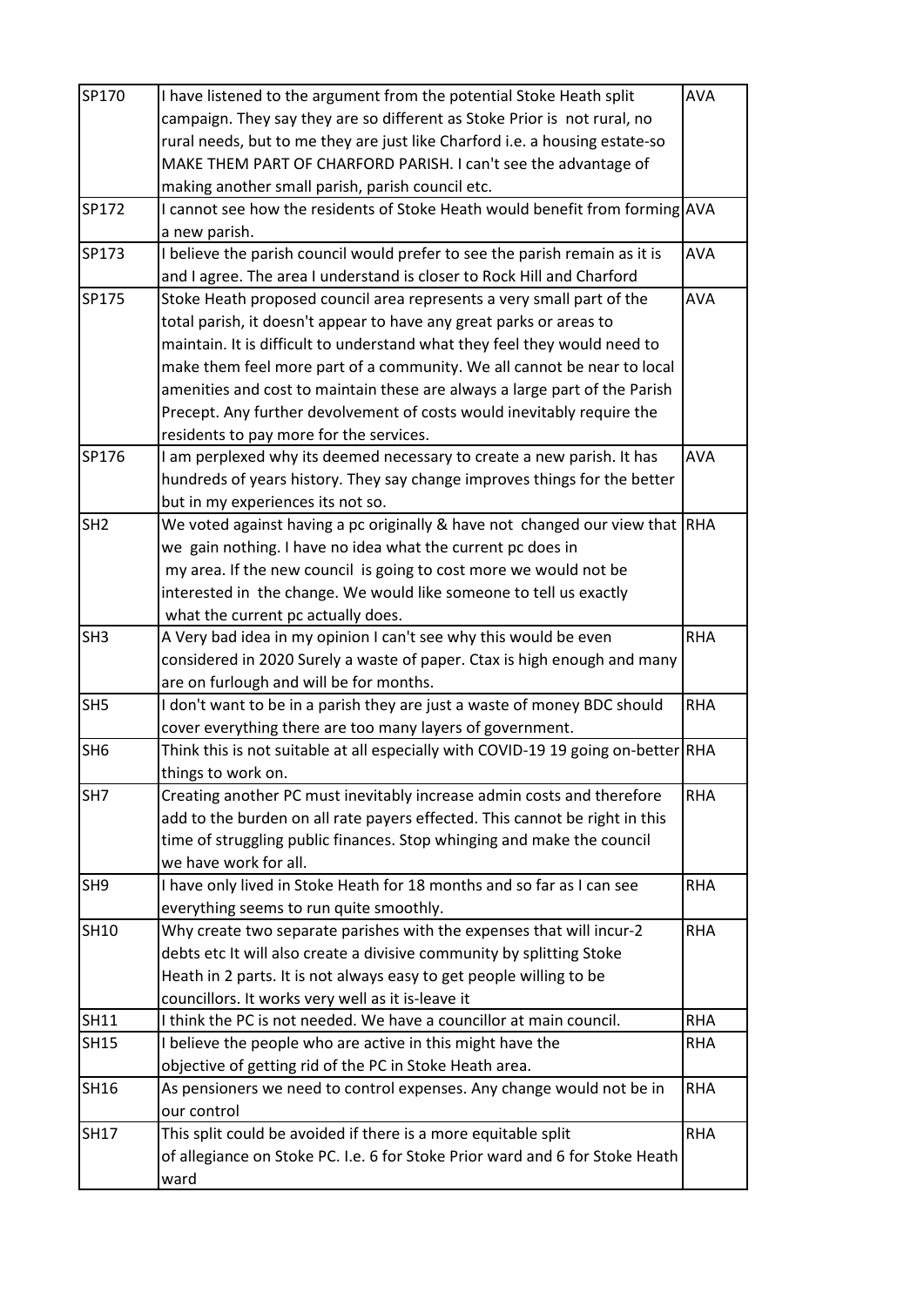| SP170           | I have listened to the argument from the potential Stoke Heath split              | AVA        |
|-----------------|-----------------------------------------------------------------------------------|------------|
|                 | campaign. They say they are so different as Stoke Prior is not rural, no          |            |
|                 | rural needs, but to me they are just like Charford i.e. a housing estate-so       |            |
|                 | MAKE THEM PART OF CHARFORD PARISH. I can't see the advantage of                   |            |
|                 | making another small parish, parish council etc.                                  |            |
| SP172           | I cannot see how the residents of Stoke Heath would benefit from forming AVA      |            |
|                 | a new parish.                                                                     |            |
| SP173           | I believe the parish council would prefer to see the parish remain as it is       | <b>AVA</b> |
|                 | and I agree. The area I understand is closer to Rock Hill and Charford            |            |
| SP175           | Stoke Heath proposed council area represents a very small part of the             | <b>AVA</b> |
|                 | total parish, it doesn't appear to have any great parks or areas to               |            |
|                 | maintain. It is difficult to understand what they feel they would need to         |            |
|                 | make them feel more part of a community. We all cannot be near to local           |            |
|                 | amenities and cost to maintain these are always a large part of the Parish        |            |
|                 | Precept. Any further devolvement of costs would inevitably require the            |            |
|                 | residents to pay more for the services.                                           |            |
| SP176           | I am perplexed why its deemed necessary to create a new parish. It has            | <b>AVA</b> |
|                 | hundreds of years history. They say change improves things for the better         |            |
|                 | but in my experiences its not so.                                                 |            |
| SH <sub>2</sub> | We voted against having a pc originally & have not changed our view that RHA      |            |
|                 | we gain nothing. I have no idea what the current pc does in                       |            |
|                 | my area. If the new council is going to cost more we would not be                 |            |
|                 | interested in the change. We would like someone to tell us exactly                |            |
|                 | what the current pc actually does.                                                |            |
| SH <sub>3</sub> | A Very bad idea in my opinion I can't see why this would be even                  | <b>RHA</b> |
|                 | considered in 2020 Surely a waste of paper. Ctax is high enough and many          |            |
|                 | are on furlough and will be for months.                                           |            |
| SH <sub>5</sub> | I don't want to be in a parish they are just a waste of money BDC should          | <b>RHA</b> |
|                 | cover everything there are too many layers of government.                         |            |
| SH <sub>6</sub> | Think this is not suitable at all especially with COVID-19 19 going on-better RHA |            |
|                 | things to work on.                                                                |            |
| SH7             | Creating another PC must inevitably increase admin costs and therefore            | <b>RHA</b> |
|                 | add to the burden on all rate payers effected. This cannot be right in this       |            |
|                 | time of struggling public finances. Stop whinging and make the council            |            |
|                 | we have work for all.                                                             |            |
| SH <sub>9</sub> | I have only lived in Stoke Heath for 18 months and so far as I can see            | <b>RHA</b> |
|                 | everything seems to run quite smoothly.                                           |            |
| <b>SH10</b>     | Why create two separate parishes with the expenses that will incur-2              | <b>RHA</b> |
|                 | debts etc It will also create a divisive community by splitting Stoke             |            |
|                 | Heath in 2 parts. It is not always easy to get people willing to be               |            |
|                 | councillors. It works very well as it is-leave it                                 |            |
| <b>SH11</b>     | I think the PC is not needed. We have a councillor at main council.               | <b>RHA</b> |
| <b>SH15</b>     | I believe the people who are active in this might have the                        | <b>RHA</b> |
|                 | objective of getting rid of the PC in Stoke Heath area.                           |            |
| <b>SH16</b>     | As pensioners we need to control expenses. Any change would not be in             | <b>RHA</b> |
|                 | our control                                                                       |            |
| <b>SH17</b>     | This split could be avoided if there is a more equitable split                    | <b>RHA</b> |
|                 | of allegiance on Stoke PC. I.e. 6 for Stoke Prior ward and 6 for Stoke Heath      |            |
|                 | ward                                                                              |            |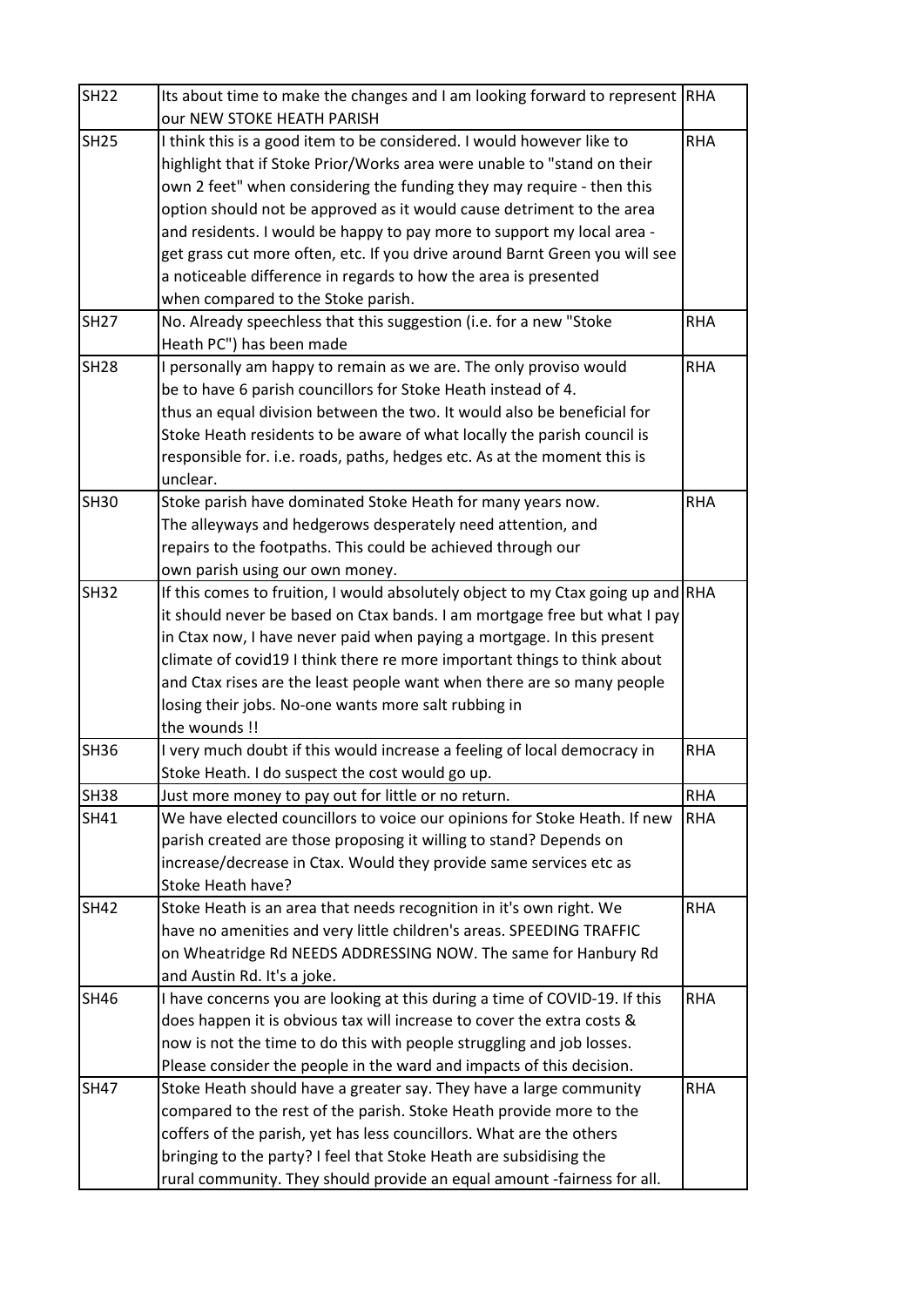| <b>SH25</b><br>I think this is a good item to be considered. I would however like to<br>highlight that if Stoke Prior/Works area were unable to "stand on their<br>own 2 feet" when considering the funding they may require - then this<br>option should not be approved as it would cause detriment to the area<br>and residents. I would be happy to pay more to support my local area -<br>get grass cut more often, etc. If you drive around Barnt Green you will see<br>a noticeable difference in regards to how the area is presented<br>when compared to the Stoke parish.<br><b>SH27</b><br>No. Already speechless that this suggestion (i.e. for a new "Stoke<br>Heath PC") has been made | <b>RHA</b><br><b>RHA</b><br><b>RHA</b> |
|------------------------------------------------------------------------------------------------------------------------------------------------------------------------------------------------------------------------------------------------------------------------------------------------------------------------------------------------------------------------------------------------------------------------------------------------------------------------------------------------------------------------------------------------------------------------------------------------------------------------------------------------------------------------------------------------------|----------------------------------------|
|                                                                                                                                                                                                                                                                                                                                                                                                                                                                                                                                                                                                                                                                                                      |                                        |
|                                                                                                                                                                                                                                                                                                                                                                                                                                                                                                                                                                                                                                                                                                      |                                        |
|                                                                                                                                                                                                                                                                                                                                                                                                                                                                                                                                                                                                                                                                                                      |                                        |
|                                                                                                                                                                                                                                                                                                                                                                                                                                                                                                                                                                                                                                                                                                      |                                        |
|                                                                                                                                                                                                                                                                                                                                                                                                                                                                                                                                                                                                                                                                                                      |                                        |
|                                                                                                                                                                                                                                                                                                                                                                                                                                                                                                                                                                                                                                                                                                      |                                        |
|                                                                                                                                                                                                                                                                                                                                                                                                                                                                                                                                                                                                                                                                                                      |                                        |
|                                                                                                                                                                                                                                                                                                                                                                                                                                                                                                                                                                                                                                                                                                      |                                        |
|                                                                                                                                                                                                                                                                                                                                                                                                                                                                                                                                                                                                                                                                                                      |                                        |
| <b>SH28</b><br>I personally am happy to remain as we are. The only proviso would                                                                                                                                                                                                                                                                                                                                                                                                                                                                                                                                                                                                                     |                                        |
| be to have 6 parish councillors for Stoke Heath instead of 4.                                                                                                                                                                                                                                                                                                                                                                                                                                                                                                                                                                                                                                        |                                        |
| thus an equal division between the two. It would also be beneficial for                                                                                                                                                                                                                                                                                                                                                                                                                                                                                                                                                                                                                              |                                        |
| Stoke Heath residents to be aware of what locally the parish council is                                                                                                                                                                                                                                                                                                                                                                                                                                                                                                                                                                                                                              |                                        |
| responsible for. i.e. roads, paths, hedges etc. As at the moment this is                                                                                                                                                                                                                                                                                                                                                                                                                                                                                                                                                                                                                             |                                        |
| unclear.                                                                                                                                                                                                                                                                                                                                                                                                                                                                                                                                                                                                                                                                                             |                                        |
| Stoke parish have dominated Stoke Heath for many years now.<br><b>SH30</b>                                                                                                                                                                                                                                                                                                                                                                                                                                                                                                                                                                                                                           | <b>RHA</b>                             |
| The alleyways and hedgerows desperately need attention, and                                                                                                                                                                                                                                                                                                                                                                                                                                                                                                                                                                                                                                          |                                        |
| repairs to the footpaths. This could be achieved through our                                                                                                                                                                                                                                                                                                                                                                                                                                                                                                                                                                                                                                         |                                        |
| own parish using our own money.<br><b>SH32</b><br>If this comes to fruition, I would absolutely object to my Ctax going up and RHA                                                                                                                                                                                                                                                                                                                                                                                                                                                                                                                                                                   |                                        |
| it should never be based on Ctax bands. I am mortgage free but what I pay                                                                                                                                                                                                                                                                                                                                                                                                                                                                                                                                                                                                                            |                                        |
| in Ctax now, I have never paid when paying a mortgage. In this present                                                                                                                                                                                                                                                                                                                                                                                                                                                                                                                                                                                                                               |                                        |
| climate of covid19 I think there re more important things to think about                                                                                                                                                                                                                                                                                                                                                                                                                                                                                                                                                                                                                             |                                        |
| and Ctax rises are the least people want when there are so many people                                                                                                                                                                                                                                                                                                                                                                                                                                                                                                                                                                                                                               |                                        |
| losing their jobs. No-one wants more salt rubbing in                                                                                                                                                                                                                                                                                                                                                                                                                                                                                                                                                                                                                                                 |                                        |
| the wounds !!                                                                                                                                                                                                                                                                                                                                                                                                                                                                                                                                                                                                                                                                                        |                                        |
| <b>SH36</b><br>I very much doubt if this would increase a feeling of local democracy in                                                                                                                                                                                                                                                                                                                                                                                                                                                                                                                                                                                                              | <b>RHA</b>                             |
| Stoke Heath. I do suspect the cost would go up.                                                                                                                                                                                                                                                                                                                                                                                                                                                                                                                                                                                                                                                      |                                        |
| <b>SH38</b><br>Just more money to pay out for little or no return.                                                                                                                                                                                                                                                                                                                                                                                                                                                                                                                                                                                                                                   | <b>RHA</b>                             |
| We have elected councillors to voice our opinions for Stoke Heath. If new<br>SH41                                                                                                                                                                                                                                                                                                                                                                                                                                                                                                                                                                                                                    | <b>RHA</b>                             |
| parish created are those proposing it willing to stand? Depends on                                                                                                                                                                                                                                                                                                                                                                                                                                                                                                                                                                                                                                   |                                        |
| increase/decrease in Ctax. Would they provide same services etc as                                                                                                                                                                                                                                                                                                                                                                                                                                                                                                                                                                                                                                   |                                        |
| Stoke Heath have?                                                                                                                                                                                                                                                                                                                                                                                                                                                                                                                                                                                                                                                                                    |                                        |
| <b>SH42</b><br>Stoke Heath is an area that needs recognition in it's own right. We                                                                                                                                                                                                                                                                                                                                                                                                                                                                                                                                                                                                                   | <b>RHA</b>                             |
| have no amenities and very little children's areas. SPEEDING TRAFFIC                                                                                                                                                                                                                                                                                                                                                                                                                                                                                                                                                                                                                                 |                                        |
| on Wheatridge Rd NEEDS ADDRESSING NOW. The same for Hanbury Rd                                                                                                                                                                                                                                                                                                                                                                                                                                                                                                                                                                                                                                       |                                        |
| and Austin Rd. It's a joke.                                                                                                                                                                                                                                                                                                                                                                                                                                                                                                                                                                                                                                                                          |                                        |
| I have concerns you are looking at this during a time of COVID-19. If this<br><b>SH46</b>                                                                                                                                                                                                                                                                                                                                                                                                                                                                                                                                                                                                            | <b>RHA</b>                             |
| does happen it is obvious tax will increase to cover the extra costs &                                                                                                                                                                                                                                                                                                                                                                                                                                                                                                                                                                                                                               |                                        |
| now is not the time to do this with people struggling and job losses.                                                                                                                                                                                                                                                                                                                                                                                                                                                                                                                                                                                                                                |                                        |
| Please consider the people in the ward and impacts of this decision.                                                                                                                                                                                                                                                                                                                                                                                                                                                                                                                                                                                                                                 |                                        |
| <b>SH47</b><br>Stoke Heath should have a greater say. They have a large community                                                                                                                                                                                                                                                                                                                                                                                                                                                                                                                                                                                                                    | <b>RHA</b>                             |
| compared to the rest of the parish. Stoke Heath provide more to the                                                                                                                                                                                                                                                                                                                                                                                                                                                                                                                                                                                                                                  |                                        |
| coffers of the parish, yet has less councillors. What are the others                                                                                                                                                                                                                                                                                                                                                                                                                                                                                                                                                                                                                                 |                                        |
| bringing to the party? I feel that Stoke Heath are subsidising the                                                                                                                                                                                                                                                                                                                                                                                                                                                                                                                                                                                                                                   |                                        |
| rural community. They should provide an equal amount -fairness for all.                                                                                                                                                                                                                                                                                                                                                                                                                                                                                                                                                                                                                              |                                        |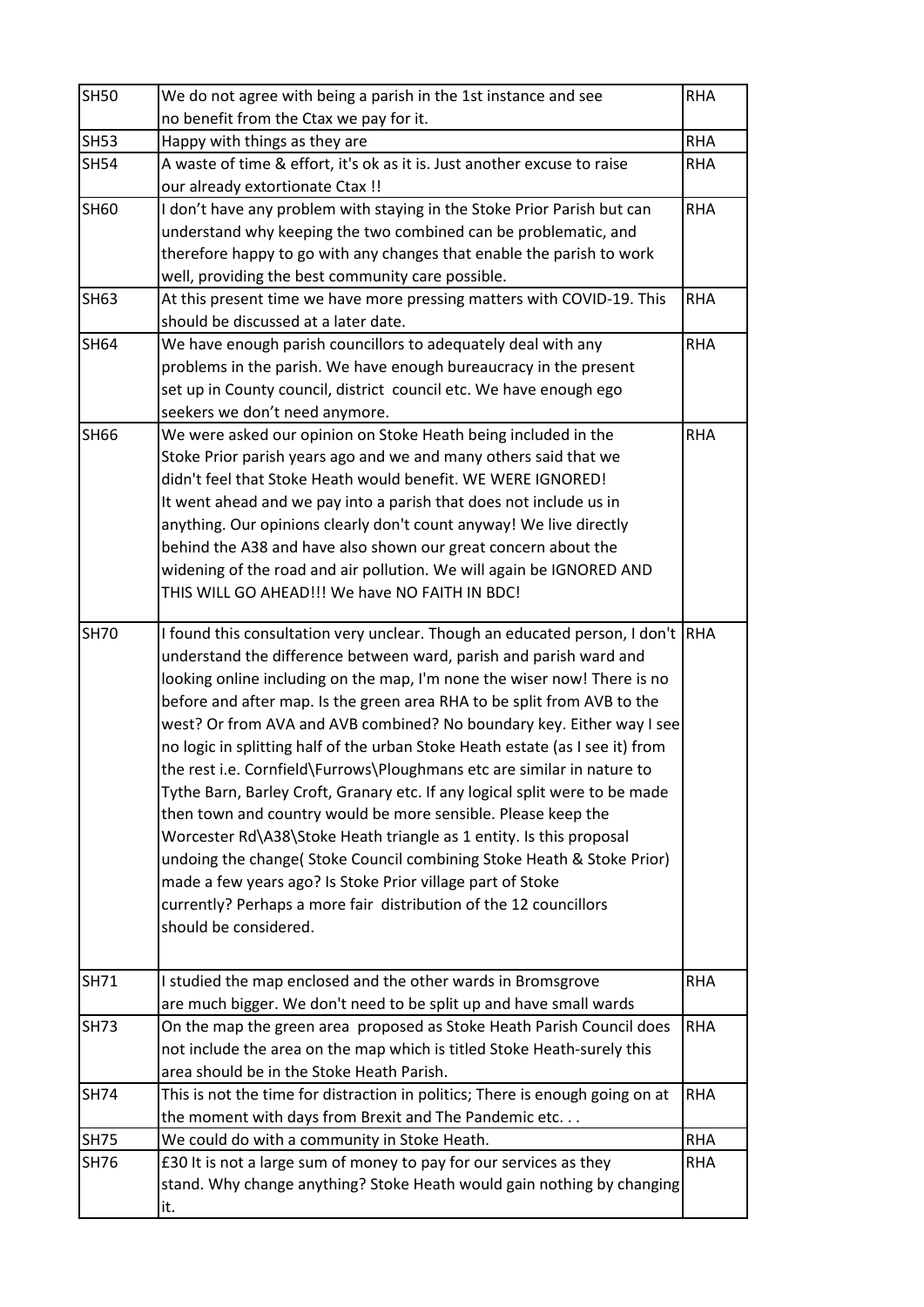| <b>SH50</b> | We do not agree with being a parish in the 1st instance and see                                                                                                                                                                                                                                                                                                                                                                                                                                                                                                                                                                                                                                                                                                                                                                                                                                                                                                                                                | <b>RHA</b> |
|-------------|----------------------------------------------------------------------------------------------------------------------------------------------------------------------------------------------------------------------------------------------------------------------------------------------------------------------------------------------------------------------------------------------------------------------------------------------------------------------------------------------------------------------------------------------------------------------------------------------------------------------------------------------------------------------------------------------------------------------------------------------------------------------------------------------------------------------------------------------------------------------------------------------------------------------------------------------------------------------------------------------------------------|------------|
|             | no benefit from the Ctax we pay for it.                                                                                                                                                                                                                                                                                                                                                                                                                                                                                                                                                                                                                                                                                                                                                                                                                                                                                                                                                                        |            |
| <b>SH53</b> | Happy with things as they are                                                                                                                                                                                                                                                                                                                                                                                                                                                                                                                                                                                                                                                                                                                                                                                                                                                                                                                                                                                  | <b>RHA</b> |
| <b>SH54</b> | A waste of time & effort, it's ok as it is. Just another excuse to raise                                                                                                                                                                                                                                                                                                                                                                                                                                                                                                                                                                                                                                                                                                                                                                                                                                                                                                                                       | <b>RHA</b> |
|             | our already extortionate Ctax !!                                                                                                                                                                                                                                                                                                                                                                                                                                                                                                                                                                                                                                                                                                                                                                                                                                                                                                                                                                               |            |
| SH60        | I don't have any problem with staying in the Stoke Prior Parish but can                                                                                                                                                                                                                                                                                                                                                                                                                                                                                                                                                                                                                                                                                                                                                                                                                                                                                                                                        | <b>RHA</b> |
|             | understand why keeping the two combined can be problematic, and                                                                                                                                                                                                                                                                                                                                                                                                                                                                                                                                                                                                                                                                                                                                                                                                                                                                                                                                                |            |
|             | therefore happy to go with any changes that enable the parish to work                                                                                                                                                                                                                                                                                                                                                                                                                                                                                                                                                                                                                                                                                                                                                                                                                                                                                                                                          |            |
|             | well, providing the best community care possible.                                                                                                                                                                                                                                                                                                                                                                                                                                                                                                                                                                                                                                                                                                                                                                                                                                                                                                                                                              |            |
| <b>SH63</b> | At this present time we have more pressing matters with COVID-19. This                                                                                                                                                                                                                                                                                                                                                                                                                                                                                                                                                                                                                                                                                                                                                                                                                                                                                                                                         | <b>RHA</b> |
|             | should be discussed at a later date.                                                                                                                                                                                                                                                                                                                                                                                                                                                                                                                                                                                                                                                                                                                                                                                                                                                                                                                                                                           |            |
| <b>SH64</b> | We have enough parish councillors to adequately deal with any                                                                                                                                                                                                                                                                                                                                                                                                                                                                                                                                                                                                                                                                                                                                                                                                                                                                                                                                                  | <b>RHA</b> |
|             | problems in the parish. We have enough bureaucracy in the present                                                                                                                                                                                                                                                                                                                                                                                                                                                                                                                                                                                                                                                                                                                                                                                                                                                                                                                                              |            |
|             | set up in County council, district council etc. We have enough ego                                                                                                                                                                                                                                                                                                                                                                                                                                                                                                                                                                                                                                                                                                                                                                                                                                                                                                                                             |            |
|             | seekers we don't need anymore.                                                                                                                                                                                                                                                                                                                                                                                                                                                                                                                                                                                                                                                                                                                                                                                                                                                                                                                                                                                 |            |
| <b>SH66</b> | We were asked our opinion on Stoke Heath being included in the                                                                                                                                                                                                                                                                                                                                                                                                                                                                                                                                                                                                                                                                                                                                                                                                                                                                                                                                                 | <b>RHA</b> |
|             | Stoke Prior parish years ago and we and many others said that we                                                                                                                                                                                                                                                                                                                                                                                                                                                                                                                                                                                                                                                                                                                                                                                                                                                                                                                                               |            |
|             | didn't feel that Stoke Heath would benefit. WE WERE IGNORED!                                                                                                                                                                                                                                                                                                                                                                                                                                                                                                                                                                                                                                                                                                                                                                                                                                                                                                                                                   |            |
|             | It went ahead and we pay into a parish that does not include us in                                                                                                                                                                                                                                                                                                                                                                                                                                                                                                                                                                                                                                                                                                                                                                                                                                                                                                                                             |            |
|             | anything. Our opinions clearly don't count anyway! We live directly                                                                                                                                                                                                                                                                                                                                                                                                                                                                                                                                                                                                                                                                                                                                                                                                                                                                                                                                            |            |
|             | behind the A38 and have also shown our great concern about the                                                                                                                                                                                                                                                                                                                                                                                                                                                                                                                                                                                                                                                                                                                                                                                                                                                                                                                                                 |            |
|             | widening of the road and air pollution. We will again be IGNORED AND                                                                                                                                                                                                                                                                                                                                                                                                                                                                                                                                                                                                                                                                                                                                                                                                                                                                                                                                           |            |
|             | THIS WILL GO AHEAD!!! We have NO FAITH IN BDC!                                                                                                                                                                                                                                                                                                                                                                                                                                                                                                                                                                                                                                                                                                                                                                                                                                                                                                                                                                 |            |
| <b>SH70</b> | I found this consultation very unclear. Though an educated person, I don't  RHA<br>understand the difference between ward, parish and parish ward and<br>looking online including on the map, I'm none the wiser now! There is no<br>before and after map. Is the green area RHA to be split from AVB to the<br>west? Or from AVA and AVB combined? No boundary key. Either way I see<br>no logic in splitting half of the urban Stoke Heath estate (as I see it) from<br>the rest i.e. Cornfield\Furrows\Ploughmans etc are similar in nature to<br>Tythe Barn, Barley Croft, Granary etc. If any logical split were to be made<br>then town and country would be more sensible. Please keep the<br>Worcester Rd\A38\Stoke Heath triangle as 1 entity. Is this proposal<br>undoing the change( Stoke Council combining Stoke Heath & Stoke Prior)<br>made a few years ago? Is Stoke Prior village part of Stoke<br>currently? Perhaps a more fair distribution of the 12 councillors<br>should be considered. |            |
| <b>SH71</b> | I studied the map enclosed and the other wards in Bromsgrove<br>are much bigger. We don't need to be split up and have small wards                                                                                                                                                                                                                                                                                                                                                                                                                                                                                                                                                                                                                                                                                                                                                                                                                                                                             | <b>RHA</b> |
| <b>SH73</b> | On the map the green area proposed as Stoke Heath Parish Council does                                                                                                                                                                                                                                                                                                                                                                                                                                                                                                                                                                                                                                                                                                                                                                                                                                                                                                                                          | <b>RHA</b> |
|             | not include the area on the map which is titled Stoke Heath-surely this                                                                                                                                                                                                                                                                                                                                                                                                                                                                                                                                                                                                                                                                                                                                                                                                                                                                                                                                        |            |
|             | area should be in the Stoke Heath Parish.                                                                                                                                                                                                                                                                                                                                                                                                                                                                                                                                                                                                                                                                                                                                                                                                                                                                                                                                                                      |            |
| <b>SH74</b> | This is not the time for distraction in politics; There is enough going on at                                                                                                                                                                                                                                                                                                                                                                                                                                                                                                                                                                                                                                                                                                                                                                                                                                                                                                                                  | <b>RHA</b> |
|             | the moment with days from Brexit and The Pandemic etc                                                                                                                                                                                                                                                                                                                                                                                                                                                                                                                                                                                                                                                                                                                                                                                                                                                                                                                                                          |            |
| <b>SH75</b> | We could do with a community in Stoke Heath.                                                                                                                                                                                                                                                                                                                                                                                                                                                                                                                                                                                                                                                                                                                                                                                                                                                                                                                                                                   | <b>RHA</b> |
| SH76        | £30 It is not a large sum of money to pay for our services as they                                                                                                                                                                                                                                                                                                                                                                                                                                                                                                                                                                                                                                                                                                                                                                                                                                                                                                                                             | <b>RHA</b> |
|             | stand. Why change anything? Stoke Heath would gain nothing by changing                                                                                                                                                                                                                                                                                                                                                                                                                                                                                                                                                                                                                                                                                                                                                                                                                                                                                                                                         |            |
|             | it.                                                                                                                                                                                                                                                                                                                                                                                                                                                                                                                                                                                                                                                                                                                                                                                                                                                                                                                                                                                                            |            |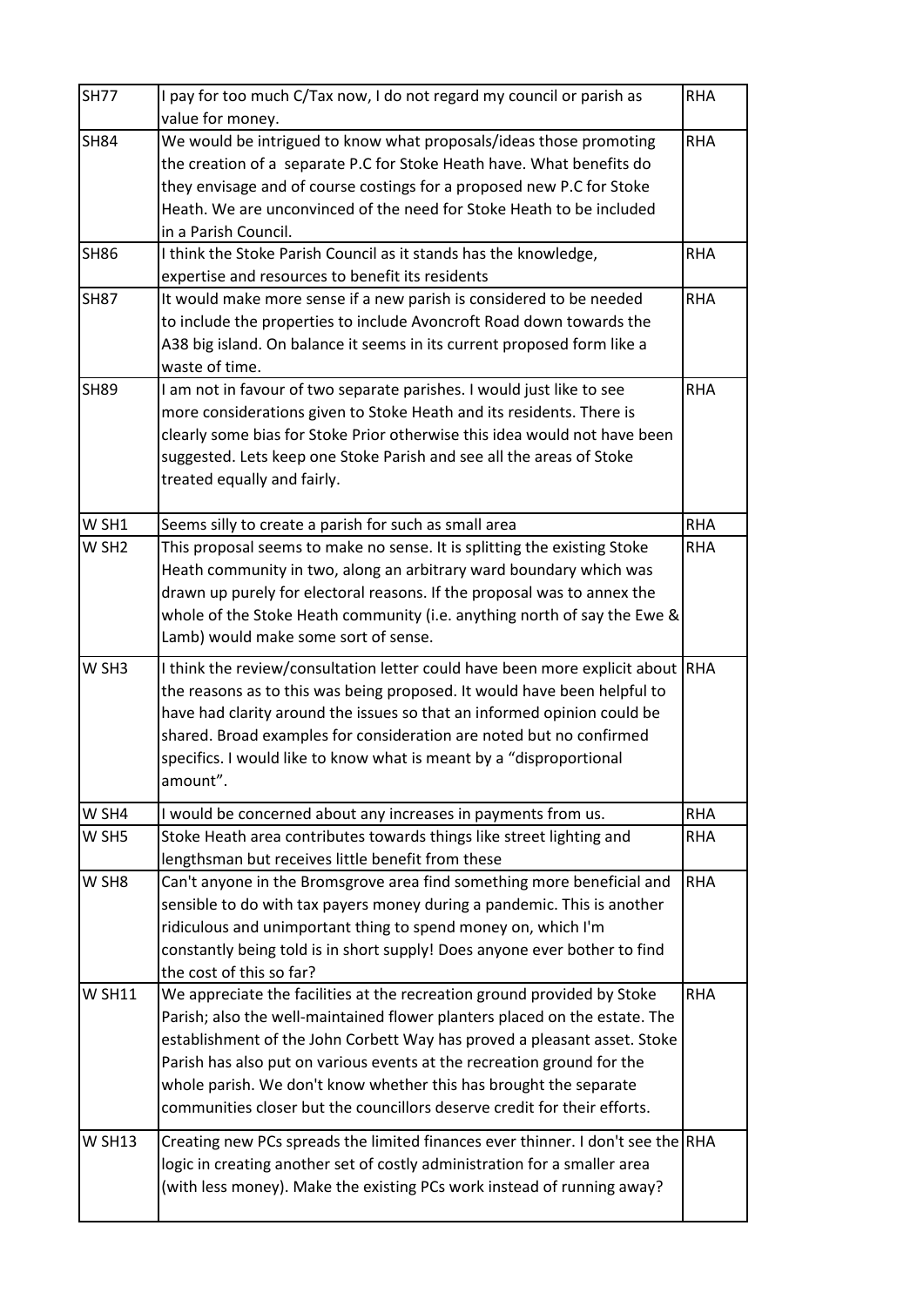| <b>SH77</b>       | I pay for too much C/Tax now, I do not regard my council or parish as<br>value for money.                                                                                                                                                                                                                                                                                                                                                                    | <b>RHA</b> |
|-------------------|--------------------------------------------------------------------------------------------------------------------------------------------------------------------------------------------------------------------------------------------------------------------------------------------------------------------------------------------------------------------------------------------------------------------------------------------------------------|------------|
| <b>SH84</b>       | We would be intrigued to know what proposals/ideas those promoting<br>the creation of a separate P.C for Stoke Heath have. What benefits do<br>they envisage and of course costings for a proposed new P.C for Stoke<br>Heath. We are unconvinced of the need for Stoke Heath to be included<br>in a Parish Council.                                                                                                                                         | <b>RHA</b> |
| <b>SH86</b>       | I think the Stoke Parish Council as it stands has the knowledge,<br>expertise and resources to benefit its residents                                                                                                                                                                                                                                                                                                                                         | <b>RHA</b> |
| <b>SH87</b>       | It would make more sense if a new parish is considered to be needed<br>to include the properties to include Avoncroft Road down towards the<br>A38 big island. On balance it seems in its current proposed form like a<br>waste of time.                                                                                                                                                                                                                     | <b>RHA</b> |
| <b>SH89</b>       | I am not in favour of two separate parishes. I would just like to see<br>more considerations given to Stoke Heath and its residents. There is<br>clearly some bias for Stoke Prior otherwise this idea would not have been<br>suggested. Lets keep one Stoke Parish and see all the areas of Stoke<br>treated equally and fairly.                                                                                                                            | <b>RHA</b> |
| W SH1             | Seems silly to create a parish for such as small area                                                                                                                                                                                                                                                                                                                                                                                                        | <b>RHA</b> |
| W SH <sub>2</sub> | This proposal seems to make no sense. It is splitting the existing Stoke<br>Heath community in two, along an arbitrary ward boundary which was<br>drawn up purely for electoral reasons. If the proposal was to annex the<br>whole of the Stoke Heath community (i.e. anything north of say the Ewe &<br>Lamb) would make some sort of sense.                                                                                                                | <b>RHA</b> |
| W SH3             | I think the review/consultation letter could have been more explicit about RHA<br>the reasons as to this was being proposed. It would have been helpful to<br>have had clarity around the issues so that an informed opinion could be<br>shared. Broad examples for consideration are noted but no confirmed<br>specifics. I would like to know what is meant by a "disproportional<br>amount".                                                              |            |
| W SH4             | I would be concerned about any increases in payments from us.                                                                                                                                                                                                                                                                                                                                                                                                | <b>RHA</b> |
| W SH5             | Stoke Heath area contributes towards things like street lighting and<br>lengthsman but receives little benefit from these                                                                                                                                                                                                                                                                                                                                    | <b>RHA</b> |
| W SH8             | Can't anyone in the Bromsgrove area find something more beneficial and<br>sensible to do with tax payers money during a pandemic. This is another<br>ridiculous and unimportant thing to spend money on, which I'm<br>constantly being told is in short supply! Does anyone ever bother to find<br>the cost of this so far?                                                                                                                                  | <b>RHA</b> |
| <b>W SH11</b>     | We appreciate the facilities at the recreation ground provided by Stoke<br>Parish; also the well-maintained flower planters placed on the estate. The<br>establishment of the John Corbett Way has proved a pleasant asset. Stoke<br>Parish has also put on various events at the recreation ground for the<br>whole parish. We don't know whether this has brought the separate<br>communities closer but the councillors deserve credit for their efforts. | <b>RHA</b> |
| <b>W SH13</b>     | Creating new PCs spreads the limited finances ever thinner. I don't see the RHA<br>logic in creating another set of costly administration for a smaller area<br>(with less money). Make the existing PCs work instead of running away?                                                                                                                                                                                                                       |            |